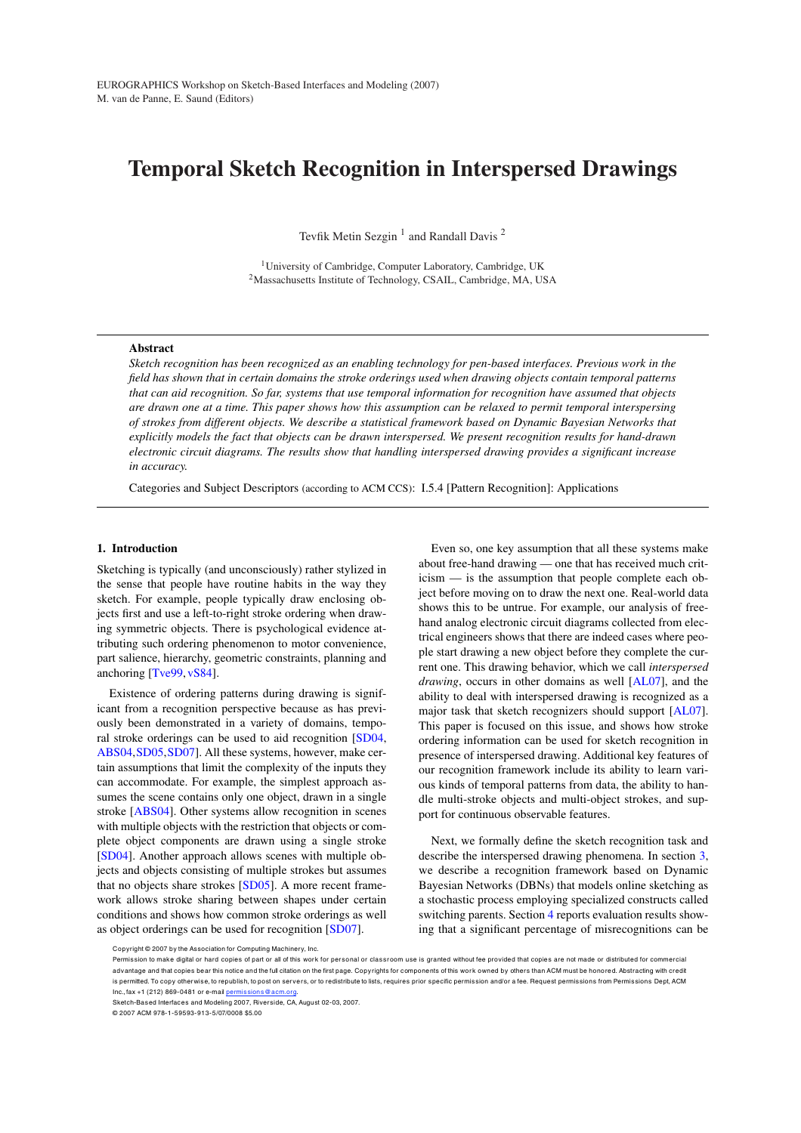# Temporal Sketch Recognition in Interspersed Drawings

Tevfik Metin Sezgin<sup>1</sup> and Randall Davis<sup>2</sup>

<sup>1</sup>University of Cambridge, Computer Laboratory, Cambridge, UK <sup>2</sup>Massachusetts Institute of Technology, CSAIL, Cambridge, MA, USA

## Abstract

*Sketch recognition has been recognized as an enabling technology for pen-based interfaces. Previous work in the field has shown that in certain domains the stroke orderings used when drawing objects contain temporal patterns that can aid recognition. So far, systems that use temporal information for recognition have assumed that objects are drawn one at a time. This paper shows how this assumption can be relaxed to permit temporal interspersing of strokes from different objects. We describe a statistical framework based on Dynamic Bayesian Networks that explicitly models the fact that objects can be drawn interspersed. We present recognition results for hand-drawn electronic circuit diagrams. The results show that handling interspersed drawing provides a significant increase in accuracy.*

Categories and Subject Descriptors (according to ACM CCS): I.5.4 [Pattern Recognition]: Applications

## 1. Introduction

Sketching is typically (and unconsciously) rather stylized in the sense that people have routine habits in the way they sketch. For example, people typically draw enclosing objects first and use a left-to-right stroke ordering when drawing symmetric objects. There is psychological evidence attributing such ordering phenomenon to motor convenience, part salience, hierarchy, geometric constraints, planning and anchoring [Tve99, vS84].

Existence of ordering patterns during drawing is significant from a recognition perspective because as has previously been demonstrated in a variety of domains, temporal stroke orderings can be used to aid recognition [SD04, ABS04,SD05,SD07]. All these systems, however, make certain assumptions that limit the complexity of the inputs they can accommodate. For example, the simplest approach assumes the scene contains only one object, drawn in a single stroke [ABS04]. Other systems allow recognition in scenes with multiple objects with the restriction that objects or complete object components are drawn using a single stroke [SD04]. Another approach allows scenes with multiple objects and objects consisting of multiple strokes but assumes that no objects share strokes [SD05]. A more recent framework allows stroke sharing between shapes under certain conditions and shows how common stroke orderings as well as object orderings can be used for recognition [SD07].

Even so, one key assumption that all these systems make about free-hand drawing — one that has received much criticism — is the assumption that people complete each object before moving on to draw the next one. Real-world data shows this to be untrue. For example, our analysis of freehand analog electronic circuit diagrams collected from electrical engineers shows that there are indeed cases where people start drawing a new object before they complete the current one. This drawing behavior, which we call *interspersed drawing*, occurs in other domains as well [AL07], and the ability to deal with interspersed drawing is recognized as a major task that sketch recognizers should support [AL07]. This paper is focused on this issue, and shows how stroke ordering information can be used for sketch recognition in presence of interspersed drawing. Additional key features of our recognition framework include its ability to learn various kinds of temporal patterns from data, the ability to handle multi-stroke objects and multi-object strokes, and support for continuous observable features.

Next, we formally define the sketch recognition task and describe the interspersed drawing phenomena. In section 3, we describe a recognition framework based on Dynamic Bayesian Networks (DBNs) that models online sketching as a stochastic process employing specialized constructs called switching parents. Section 4 reports evaluation results showing that a significant percentage of misrecognitions can be

Sketch-Based Interfaces and Modeling 2007, Riverside, CA, August 02-03, 2007.

© 2007 ACM 978-1-59593-913-5/07/0008 \$5.00

Copyright © 2007 by the Association for Computing Machinery, Inc.

Permission to make digital or hard copies of part or all of this work for personal or classroom use is granted without fee provided that copies are not made or distributed for commercial advantage and that copies bear this notice and the full citation on the first page. Copyrights for components of this work owned by others than ACM must be honored. Abstracting with credit is permitted. To copy otherwise, to republish, to post on servers, or to redistribute to lists, requires prior specific permission and/or a fee. Request permissions from Permissions Dept, ACM Inc., fax +1 (212) 869-0481 or e-mail permissions@acm.org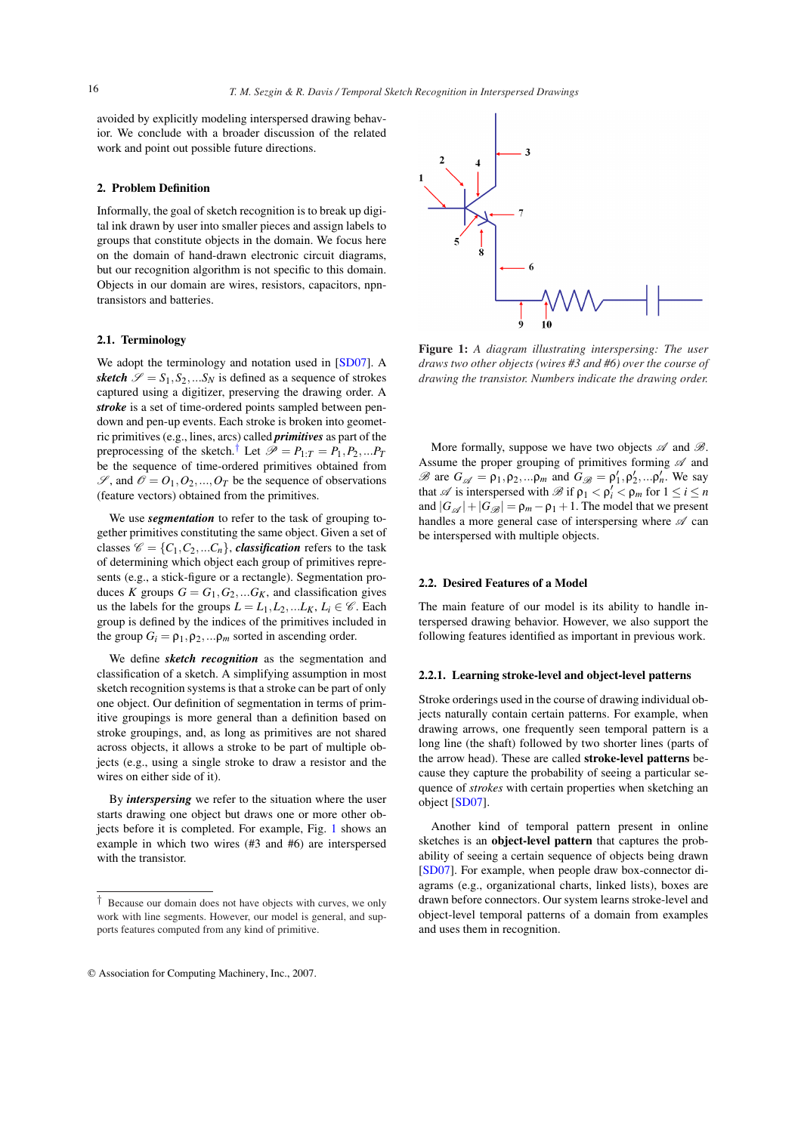avoided by explicitly modeling interspersed drawing behavior. We conclude with a broader discussion of the related work and point out possible future directions.

# 2. Problem Definition

Informally, the goal of sketch recognition is to break up digital ink drawn by user into smaller pieces and assign labels to groups that constitute objects in the domain. We focus here on the domain of hand-drawn electronic circuit diagrams, but our recognition algorithm is not specific to this domain. Objects in our domain are wires, resistors, capacitors, npntransistors and batteries.

## 2.1. Terminology

We adopt the terminology and notation used in [SD07]. A *sketch*  $\mathscr{S} = S_1, S_2, \dots S_N$  is defined as a sequence of strokes captured using a digitizer, preserving the drawing order. A *stroke* is a set of time-ordered points sampled between pendown and pen-up events. Each stroke is broken into geometric primitives (e.g., lines, arcs) called *primitives* as part of the preprocessing of the sketch.<sup>†</sup> Let  $\mathcal{P} = P_{1:T} = P_1, P_2,...P_T$ be the sequence of time-ordered primitives obtained from  $\mathscr{S}$ , and  $\mathscr{O} = O_1, O_2, ..., O_T$  be the sequence of observations (feature vectors) obtained from the primitives. 16<br>
16 T. M. Sezgin & R. D.<br>
avoided by explicitly modeling interspersed dor<br>
ior. We conclude with a broader discussion<br>
work and point out possible future directions.<br>
2. **Problem Definition**<br>
12 Informally, the goal o

We use *segmentation* to refer to the task of grouping together primitives constituting the same object. Given a set of classes  $\mathcal{C} = \{C_1, C_2, ... C_n\}$ , *classification* refers to the task of determining which object each group of primitives represents (e.g., a stick-figure or a rectangle). Segmentation produces *K* groups  $G = G_1, G_2, \dots, G_K$ , and classification gives us the labels for the groups  $L = L_1, L_2, ... L_K, L_i \in \mathcal{C}$ . Each group is defined by the indices of the primitives included in the group  $G_i = \rho_1, \rho_2, \ldots, \rho_m$  sorted in ascending order.

We define *sketch recognition* as the segmentation and classification of a sketch. A simplifying assumption in most sketch recognition systems is that a stroke can be part of only one object. Our definition of segmentation in terms of primitive groupings is more general than a definition based on stroke groupings, and, as long as primitives are not shared across objects, it allows a stroke to be part of multiple objects (e.g., using a single stroke to draw a resistor and the wires on either side of it).

By *interspersing* we refer to the situation where the user starts drawing one object but draws one or more other objects before it is completed. For example, Fig. 1 shows an example in which two wires (#3 and #6) are interspersed with the transistor.

<sup>†</sup> Because our domain does not have objects with curves, we only work with line segments. However, our model is general, and supports features computed from any kind of primitive.





Figure 1: *A diagram illustrating interspersing: The user draws two other objects (wires #3 and #6) over the course of drawing the transistor. Numbers indicate the drawing order.*

More formally, suppose we have two objects  $\mathscr A$  and  $\mathscr B$ . Assume the proper grouping of primitives forming  $\mathscr A$  and B are  $G_{\mathscr{A}} = \rho_1, \rho_2, \ldots, \rho_m$  and  $G_{\mathscr{B}} = \rho'_1, \rho'_2, \ldots, \rho'_n$ . We say that  $\mathscr A$  is interspersed with  $\mathscr B$  if  $\rho_1 < \rho'_i < \rho_m$  for  $1 \leq i \leq n$ and  $|G_{\mathscr{A}}|+|G_{\mathscr{B}}| = \rho_m - \rho_1 + 1$ . The model that we present handles a more general case of interspersing where  $\mathscr A$  can be interspersed with multiple objects.

#### 2.2. Desired Features of a Model

The main feature of our model is its ability to handle interspersed drawing behavior. However, we also support the following features identified as important in previous work.

#### 2.2.1. Learning stroke-level and object-level patterns

Stroke orderings used in the course of drawing individual objects naturally contain certain patterns. For example, when drawing arrows, one frequently seen temporal pattern is a long line (the shaft) followed by two shorter lines (parts of the arrow head). These are called stroke-level patterns because they capture the probability of seeing a particular sequence of *strokes* with certain properties when sketching an object [SD07].

Another kind of temporal pattern present in online sketches is an object-level pattern that captures the probability of seeing a certain sequence of objects being drawn [SD07]. For example, when people draw box-connector diagrams (e.g., organizational charts, linked lists), boxes are drawn before connectors. Our system learns stroke-level and object-level temporal patterns of a domain from examples and uses them in recognition.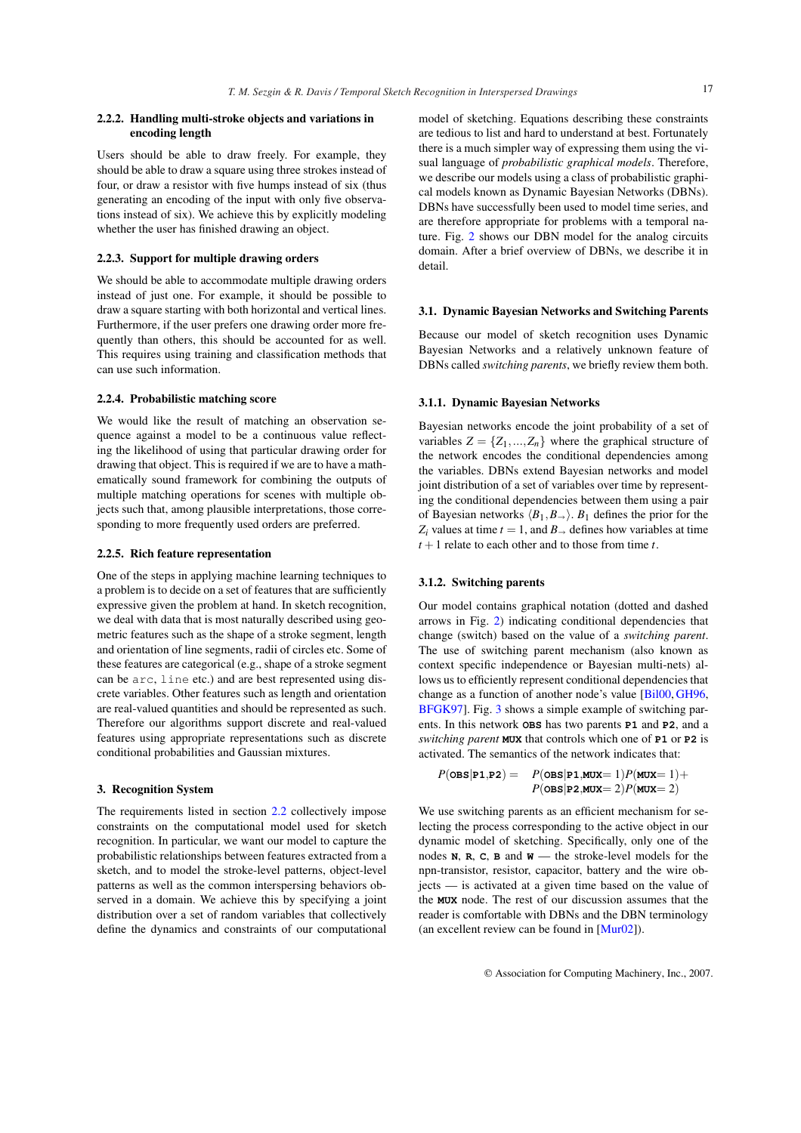# 2.2.2. Handling multi-stroke objects and variations in encoding length

Users should be able to draw freely. For example, they should be able to draw a square using three strokes instead of four, or draw a resistor with five humps instead of six (thus generating an encoding of the input with only five observations instead of six). We achieve this by explicitly modeling whether the user has finished drawing an object.

## 2.2.3. Support for multiple drawing orders

We should be able to accommodate multiple drawing orders instead of just one. For example, it should be possible to draw a square starting with both horizontal and vertical lines. Furthermore, if the user prefers one drawing order more frequently than others, this should be accounted for as well. This requires using training and classification methods that can use such information.

## 2.2.4. Probabilistic matching score

We would like the result of matching an observation sequence against a model to be a continuous value reflecting the likelihood of using that particular drawing order for drawing that object. This is required if we are to have a mathematically sound framework for combining the outputs of multiple matching operations for scenes with multiple objects such that, among plausible interpretations, those corresponding to more frequently used orders are preferred.

## 2.2.5. Rich feature representation

One of the steps in applying machine learning techniques to a problem is to decide on a set of features that are sufficiently expressive given the problem at hand. In sketch recognition, we deal with data that is most naturally described using geometric features such as the shape of a stroke segment, length and orientation of line segments, radii of circles etc. Some of these features are categorical (e.g., shape of a stroke segment can be arc, line etc.) and are best represented using discrete variables. Other features such as length and orientation are real-valued quantities and should be represented as such. Therefore our algorithms support discrete and real-valued features using appropriate representations such as discrete conditional probabilities and Gaussian mixtures.

#### 3. Recognition System

The requirements listed in section 2.2 collectively impose constraints on the computational model used for sketch recognition. In particular, we want our model to capture the probabilistic relationships between features extracted from a sketch, and to model the stroke-level patterns, object-level patterns as well as the common interspersing behaviors observed in a domain. We achieve this by specifying a joint distribution over a set of random variables that collectively define the dynamics and constraints of our computational

model of sketching. Equations describing these constraints are tedious to list and hard to understand at best. Fortunately there is a much simpler way of expressing them using the visual language of *probabilistic graphical models*. Therefore, we describe our models using a class of probabilistic graphical models known as Dynamic Bayesian Networks (DBNs). DBNs have successfully been used to model time series, and are therefore appropriate for problems with a temporal nature. Fig. 2 shows our DBN model for the analog circuits domain. After a brief overview of DBNs, we describe it in detail.

#### 3.1. Dynamic Bayesian Networks and Switching Parents

Because our model of sketch recognition uses Dynamic Bayesian Networks and a relatively unknown feature of DBNs called *switching parents*, we briefly review them both.

## 3.1.1. Dynamic Bayesian Networks

Bayesian networks encode the joint probability of a set of variables  $Z = \{Z_1, ..., Z_n\}$  where the graphical structure of the network encodes the conditional dependencies among the variables. DBNs extend Bayesian networks and model joint distribution of a set of variables over time by representing the conditional dependencies between them using a pair of Bayesian networks  $\langle B_1, B_+ \rangle$ .  $B_1$  defines the prior for the  $Z_i$  values at time  $t = 1$ , and  $B_{\rightarrow}$  defines how variables at time  $t + 1$  relate to each other and to those from time  $t$ .

#### 3.1.2. Switching parents

Our model contains graphical notation (dotted and dashed arrows in Fig. 2) indicating conditional dependencies that change (switch) based on the value of a *switching parent*. The use of switching parent mechanism (also known as context specific independence or Bayesian multi-nets) allows us to efficiently represent conditional dependencies that change as a function of another node's value [Bil00, GH96, BFGK97]. Fig. 3 shows a simple example of switching parents. In this network **OBS** has two parents **P1** and **P2**, and a *switching parent* **MUX** that controls which one of **P1** or **P2** is activated. The semantics of the network indicates that:

$$
\begin{array}{ll} P(\texttt{obs}|\texttt{p1},\texttt{p2}) = & P(\texttt{obs}|\texttt{p1},\texttt{MUX}=1)P(\texttt{MUX}=1)+ \\ & P(\texttt{obs}|\texttt{p2},\texttt{MUX}=2)P(\texttt{MUX}=2) \end{array}
$$

We use switching parents as an efficient mechanism for selecting the process corresponding to the active object in our dynamic model of sketching. Specifically, only one of the nodes **N**, **R**, **C**, **B** and **W** — the stroke-level models for the npn-transistor, resistor, capacitor, battery and the wire objects — is activated at a given time based on the value of the **MUX** node. The rest of our discussion assumes that the reader is comfortable with DBNs and the DBN terminology (an excellent review can be found in [Mur02]).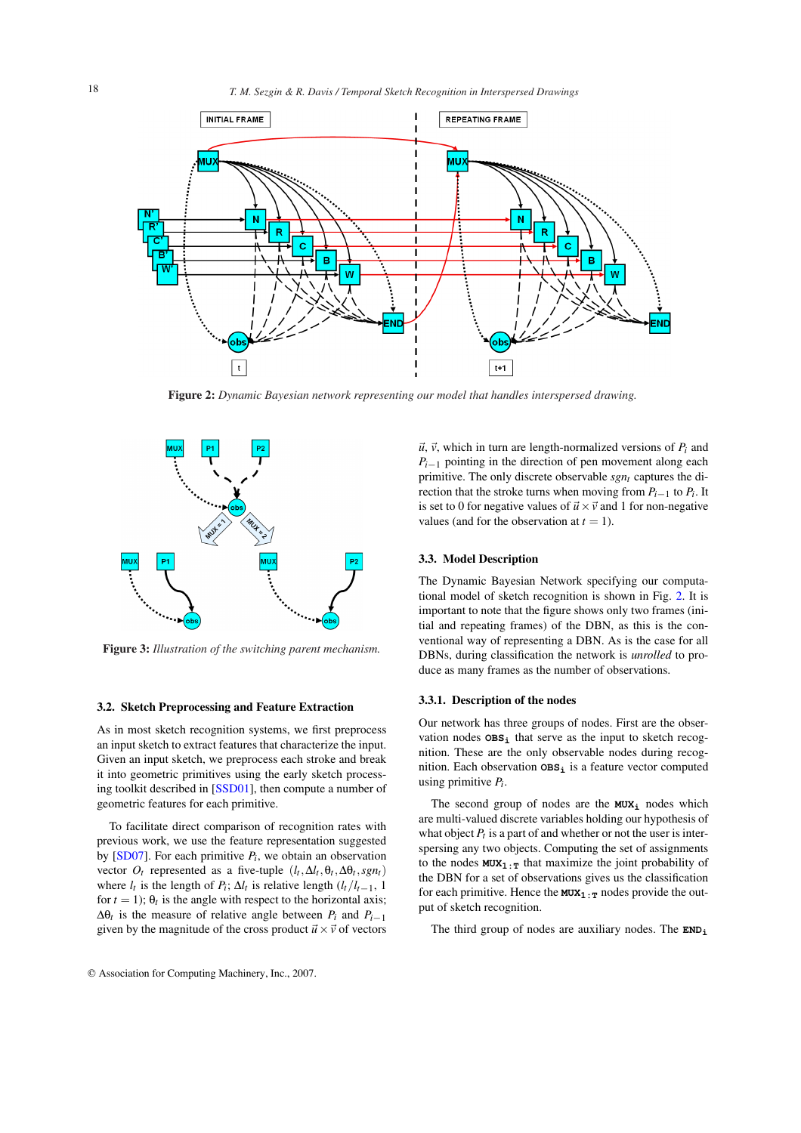

Figure 2: *Dynamic Bayesian network representing our model that handles interspersed drawing.*



Figure 3: *Illustration of the switching parent mechanism.*

#### 3.2. Sketch Preprocessing and Feature Extraction

As in most sketch recognition systems, we first preprocess an input sketch to extract features that characterize the input. Given an input sketch, we preprocess each stroke and break it into geometric primitives using the early sketch processing toolkit described in [SSD01], then compute a number of geometric features for each primitive.

To facilitate direct comparison of recognition rates with previous work, we use the feature representation suggested by  $[SD07]$ . For each primitive  $P_i$ , we obtain an observation vector  $O_t$  represented as a five-tuple  $(l_t, \Delta l_t, \theta_t, \Delta \theta_t, sgn_t)$ where  $l_t$  is the length of  $P_t$ ;  $\Delta l_t$  is relative length  $(l_t/l_{t-1}, 1)$ for  $t = 1$ );  $\theta_t$  is the angle with respect to the horizontal axis;  $Δθ<sub>t</sub>$  is the measure of relative angle between  $P<sub>i</sub>$  and  $P<sub>i-1</sub>$ given by the magnitude of the cross product  $\vec{u} \times \vec{v}$  of vectors  $\vec{u}$ ,  $\vec{v}$ , which in turn are length-normalized versions of  $P_i$  and  $P_{i-1}$  pointing in the direction of pen movement along each primitive. The only discrete observable *sgnt* captures the direction that the stroke turns when moving from  $P_{i-1}$  to  $P_i$ . It is set to 0 for negative values of  $\vec{u} \times \vec{v}$  and 1 for non-negative values (and for the observation at  $t = 1$ ).

## 3.3. Model Description

The Dynamic Bayesian Network specifying our computational model of sketch recognition is shown in Fig. 2. It is important to note that the figure shows only two frames (initial and repeating frames) of the DBN, as this is the conventional way of representing a DBN. As is the case for all DBNs, during classification the network is *unrolled* to produce as many frames as the number of observations.

## 3.3.1. Description of the nodes

Our network has three groups of nodes. First are the observation nodes **OBS<sup>i</sup>** that serve as the input to sketch recognition. These are the only observable nodes during recognition. Each observation **OBS<sup>i</sup>** is a feature vector computed using primitive *P<sup>i</sup>* .

The second group of nodes are the **MUX<sup>i</sup>** nodes which are multi-valued discrete variables holding our hypothesis of what object  $P_t$  is a part of and whether or not the user is interspersing any two objects. Computing the set of assignments to the nodes  $MUX_1:$ <sup>T</sup> that maximize the joint probability of the DBN for a set of observations gives us the classification for each primitive. Hence the  $MUX_1:$ <sup>T</sup> nodes provide the output of sketch recognition.

The third group of nodes are auxiliary nodes. The **END<sup>i</sup>**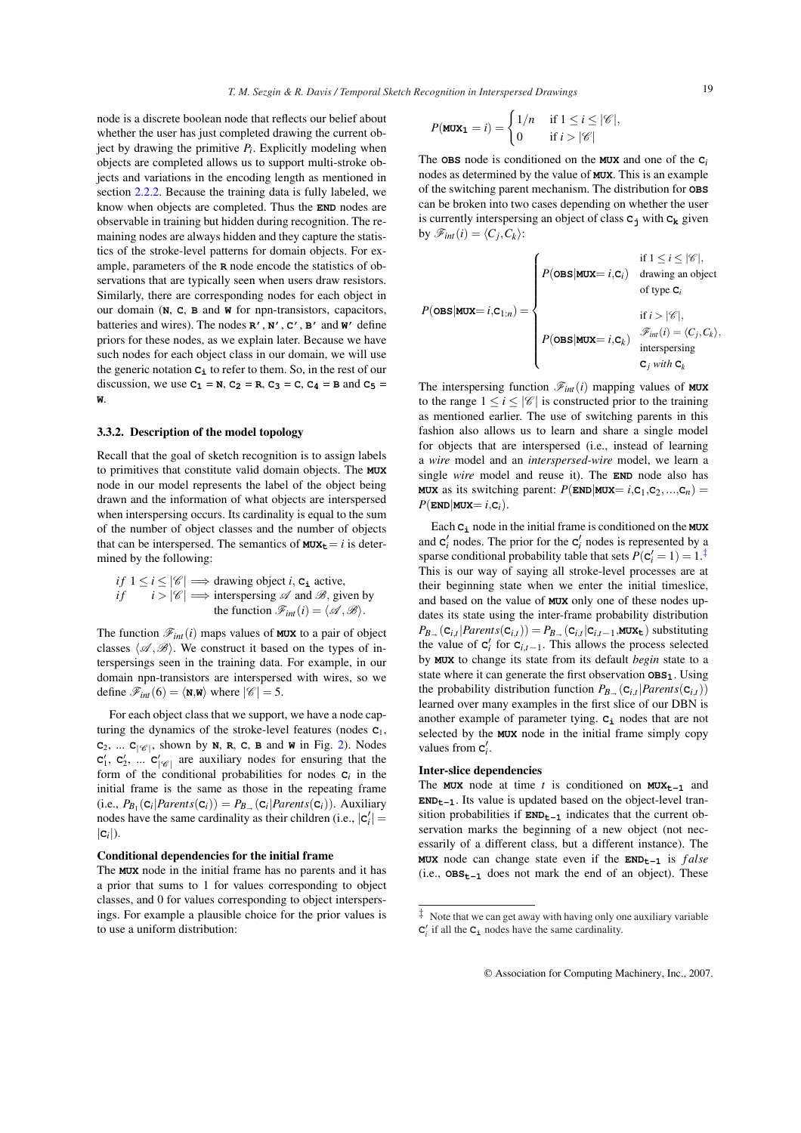node is a discrete boolean node that reflects our belief about whether the user has just completed drawing the current object by drawing the primitive *P<sup>i</sup>* . Explicitly modeling when objects are completed allows us to support multi-stroke objects and variations in the encoding length as mentioned in section 2.2.2. Because the training data is fully labeled, we know when objects are completed. Thus the **END** nodes are observable in training but hidden during recognition. The remaining nodes are always hidden and they capture the statistics of the stroke-level patterns for domain objects. For example, parameters of the **R** node encode the statistics of observations that are typically seen when users draw resistors. Similarly, there are corresponding nodes for each object in our domain (**N**, **C**, **B** and **W** for npn-transistors, capacitors, batteries and wires). The nodes **R'**, **N'**, **C'**, **B'** and **W'** define priors for these nodes, as we explain later. Because we have such nodes for each object class in our domain, we will use

discussion, we use  $C_1 = N$ ,  $C_2 = R$ ,  $C_3 = C$ ,  $C_4 = B$  and  $C_5 =$ 

the generic notation  $c_i$  to refer to them. So, in the rest of our

# 3.3.2. Description of the model topology

**W**.

Recall that the goal of sketch recognition is to assign labels to primitives that constitute valid domain objects. The **MUX** node in our model represents the label of the object being drawn and the information of what objects are interspersed when interspersing occurs. Its cardinality is equal to the sum of the number of object classes and the number of objects that can be interspersed. The semantics of  $MUX_t = i$  is determined by the following:

*if*  $1 \le i \le |\mathscr{C}| \Longrightarrow$  drawing object *i*, **C**<sub>**i**</sub> active, *if*  $i > |\mathscr{C}| \Longrightarrow$  interspersing  $\mathscr{A}$  and  $\mathscr{B}$ , given by the function  $\mathscr{F}_{int}(i) = \langle \mathscr{A}, \mathscr{B} \rangle$ .

The function  $\mathcal{F}_{int}(i)$  maps values of **MUX** to a pair of object classes  $\langle \mathscr{A}, \mathscr{B} \rangle$ . We construct it based on the types of interspersings seen in the training data. For example, in our domain npn-transistors are interspersed with wires, so we define  $\mathscr{F}_{int}(6) = \langle \mathbf{N}, \mathbf{W} \rangle$  where  $|\mathscr{C}| = 5$ .

For each object class that we support, we have a node capturing the dynamics of the stroke-level features (nodes **C**1,  $C_2$ , ...  $C_{|\mathcal{C}|}$ , shown by **N**, **R**, **C**, **B** and **W** in Fig. 2). Nodes  $C_1', C_2', \dots C_{|\mathcal{C}|}'$  are auxiliary nodes for ensuring that the form of the conditional probabilities for nodes  $c_i$  in the initial frame is the same as those in the repeating frame  $(i.e., P_{B_1}(c_i| Parents(c_i)) = P_{B_{\rightarrow}}(c_i|Parents(c_i)).$  Auxiliary nodes have the same cardinality as their children (i.e.,  $|\mathbf{c}'_i|$  =  $|{\bf c}_i|$ ).

#### Conditional dependencies for the initial frame

The **MUX** node in the initial frame has no parents and it has a prior that sums to 1 for values corresponding to object classes, and 0 for values corresponding to object interspersings. For example a plausible choice for the prior values is to use a uniform distribution:

$$
P(\mathbf{MUX_1} = i) = \begin{cases} 1/n & \text{if } 1 \le i \le |\mathscr{C}|, \\ 0 & \text{if } i > |\mathscr{C}| \end{cases}
$$

The **OBS** node is conditioned on the **MUX** and one of the **C***<sup>i</sup>* nodes as determined by the value of **MUX**. This is an example of the switching parent mechanism. The distribution for **OBS** can be broken into two cases depending on whether the user is currently interspersing an object of class **C<sup>j</sup>** with **C<sup>k</sup>** given by  $\mathscr{F}_{int}(i) = \langle C_j, C_k \rangle$ :

$$
P(\text{obs}|\text{MUX}=i,\mathbf{C}_{1:n}) = \begin{cases} \n\text{if } 1 \leq i \leq |\mathcal{C}|, \\ \n\text{if } i > j \leq n \\ \n\text{if } i > |\mathcal{C}|, \\ \n\text{if } i > |\mathcal{C}|, \\ \n\text{f}(\text{obs}|\text{MUX}=i,\mathbf{C}_k) & \text{interspersing} \\ \n\text{f}(\text{obs}|\text{MUX}=i,\mathbf{C}_k) & \text{interspersing} \\ \n\mathbf{C}_j & \text{with } \mathbf{C}_k \n\end{cases}
$$

The interspersing function  $\mathcal{F}_{int}(i)$  mapping values of **MUX** to the range  $1 \le i \le |\mathscr{C}|$  is constructed prior to the training as mentioned earlier. The use of switching parents in this fashion also allows us to learn and share a single model for objects that are interspersed (i.e., instead of learning a *wire* model and an *interspersed-wire* model, we learn a single *wire* model and reuse it). The **END** node also has **MUX** as its switching parent:  $P(\text{END}|MUX = i, C_1, C_2, ..., C_n)$  $P(\text{END}|$ **MUX**=  $i$ **,C**<sub>*i*</sub>).

Each **C<sup>i</sup>** node in the initial frame is conditioned on the **MUX** and  $\mathbf{c}'_i$  nodes. The prior for the  $\mathbf{c}'_i$  nodes is represented by a sparse conditional probability table that sets  $P(\mathbf{C}_i' = 1) = 1$ .<sup>‡</sup> This is our way of saying all stroke-level processes are at their beginning state when we enter the initial timeslice, and based on the value of **MUX** only one of these nodes updates its state using the inter-frame probability distribution  $P_{\mathcal{B}_{\rightarrow}}(\mathbf{c}_{i,t} | \textit{Parents}(\mathbf{c}_{i,t})) = P_{\mathcal{B}_{\rightarrow}}(\mathbf{c}_{i,t} | \mathbf{c}_{i,t-1}, \text{MUX}_{\mathbf{t}})$  substituting the value of  $\mathbf{c}'_i$  for  $\mathbf{c}_{i,t-1}$ . This allows the process selected by **MUX** to change its state from its default *begin* state to a state where it can generate the first observation **OBS1**. Using the probability distribution function  $P_{B_{\rightarrow}}(\mathbf{C}_{i,t} | Parents(\mathbf{C}_{i,t}))$ learned over many examples in the first slice of our DBN is another example of parameter tying. **C<sup>i</sup>** nodes that are not selected by the **MUX** node in the initial frame simply copy values from  $c_i'$ .

# Inter-slice dependencies

The **MUX** node at time *t* is conditioned on **MUX**<sub>t-1</sub> and **ENDt**<sub>-1</sub>. Its value is updated based on the object-level transition probabilities if  $END_{t-1}$  indicates that the current observation marks the beginning of a new object (not necessarily of a different class, but a different instance). The **MUX** node can change state even if the **ENDt-1** is *f alse* (i.e., **OBSt-1** does not mark the end of an object). These

 $\ddagger$  Note that we can get away with having only one auxiliary variable  $C_i'$  if all the  $C_i$  nodes have the same cardinality.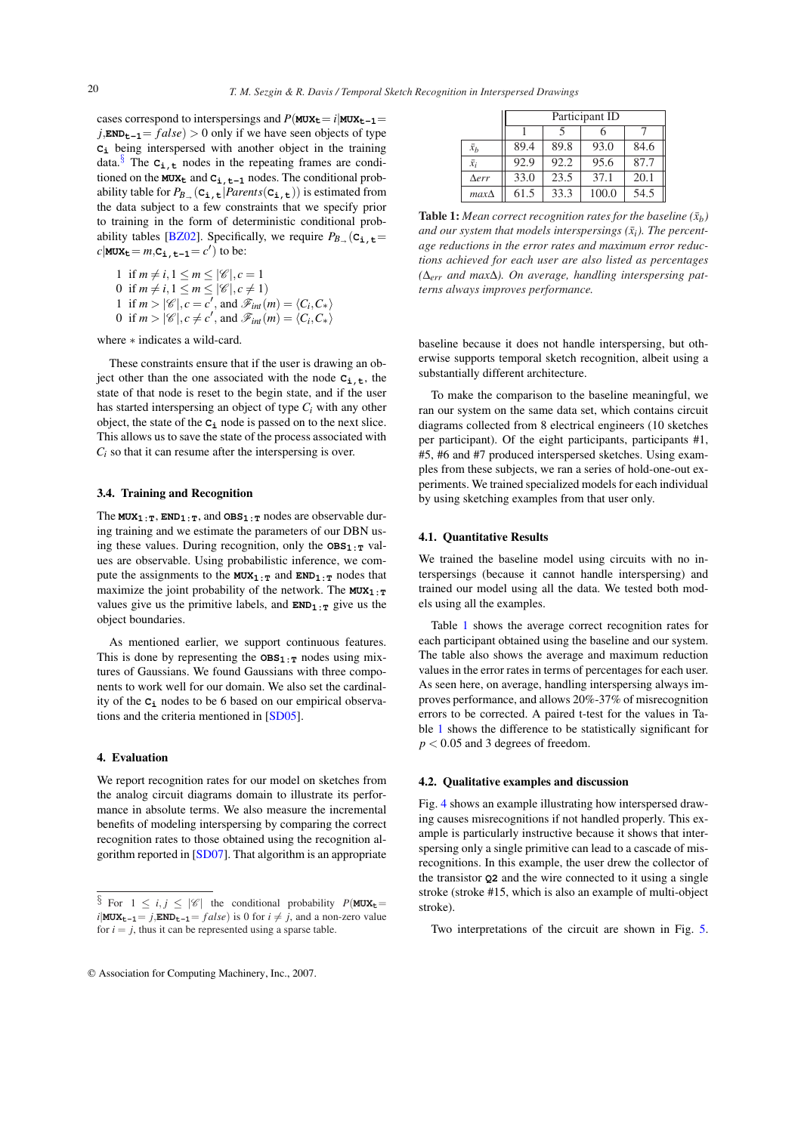cases correspond to interspersings and  $P(MUX_t = i | MUX_{t-1} =$  $j$ ,**ENDt**<sub>-1</sub> =  $false$ ) > 0 only if we have seen objects of type **C<sup>i</sup>** being interspersed with another object in the training data.<sup>§</sup> The  $C_{\text{i},\text{t}}$  nodes in the repeating frames are conditioned on the  $MUX_t$  and  $C_i$ ,  $t-1$  nodes. The conditional probability table for  $P_B$  ( $C_{\bf i,t}$ ) $| Parents(C_{\bf i,t})$ ) is estimated from the data subject to a few constraints that we specify prior to training in the form of deterministic conditional probability tables [BZ02]. Specifically, we require  $P_B$  ( $C_{\textbf{i},\textbf{t}}=$  $c|\text{MUX}_t = m, C_{\text{i},t-1} = c'$  to be: 20<br>
20 T. M. Sezgin & R. D.<br>  $TM$ . Sezgin & R. D.<br>  $j$ .**END**<sub>0</sub>-1 =  $j$  distable  $j$  conterparising and  $P(\text{M0Z}, \text{L0Z}, \text{D0Z})$  is the line to seve seen that<br>  $\mathcal{L}_2$ , being interspersed with another object if the  $\mathcal{$ 

1 if  $m \neq i, 1 \le m \le |\mathscr{C}|, c = 1$ 0 if  $m \neq i, 1 \leq m \leq |\mathcal{C}|, c \neq 1$ 1 if  $m > |\mathcal{C}|$ ,  $c = c'$ , and  $\mathcal{F}_{int}(m) = \langle C_i, C_* \rangle$ 0 if  $m > |\mathcal{C}|, c \neq c'$ , and  $\mathcal{F}_{int}(m) = \langle C_i, C_* \rangle$ 

where ∗ indicates a wild-card.

These constraints ensure that if the user is drawing an object other than the one associated with the node  $C_{i,t}$ , the state of that node is reset to the begin state, and if the user has started interspersing an object of type *C<sup>i</sup>* with any other object, the state of the **C<sup>i</sup>** node is passed on to the next slice. This allows us to save the state of the process associated with  $C_i$  so that it can resume after the interspersing is over.

## 3.4. Training and Recognition

The  $MUX_1:_T$ ,  $END_1:T$ , and  $OBS_1:T$  nodes are observable during training and we estimate the parameters of our DBN using these values. During recognition, only the  $\cos_{1}$ <sub>1:T</sub> values are observable. Using probabilistic inference, we compute the assignments to the  $MUX_1:$ <sup>T</sup> and  $END_1:$ <sup>T</sup> nodes that maximize the joint probability of the network. The **MUX**<sub>1:T</sub> values give us the primitive labels, and  $END_1:$ <sub>T</sub> give us the object boundaries.

As mentioned earlier, we support continuous features. This is done by representing the  $OBS_1 \cdot_T$  nodes using mixtures of Gaussians. We found Gaussians with three components to work well for our domain. We also set the cardinality of the **C<sup>i</sup>** nodes to be 6 based on our empirical observations and the criteria mentioned in [SD05].

# 4. Evaluation

We report recognition rates for our model on sketches from the analog circuit diagrams domain to illustrate its performance in absolute terms. We also measure the incremental benefits of modeling interspersing by comparing the correct recognition rates to those obtained using the recognition algorithm reported in [SD07]. That algorithm is an appropriate

|              | Participant ID |      |       |      |
|--------------|----------------|------|-------|------|
|              |                | 5    |       |      |
| $\bar{x}_b$  | 89.4           | 89.8 | 93.0  | 84.6 |
| $\bar{x}_i$  | 92.9           | 92.2 | 95.6  | 87.7 |
| $\Delta err$ | 33.0           | 23.5 | 37.1  | 20.1 |
| $max\Delta$  | 61.5           | 33.3 | 100.0 | 54.5 |

**Table 1:** Mean correct recognition rates for the baseline  $(\bar{x}_b)$ and our system that models interspersings  $(\bar{x}_i)$ . The percent*age reductions in the error rates and maximum error reductions achieved for each user are also listed as percentages (*∆*err and max*∆*). On average, handling interspersing patterns always improves performance.*

baseline because it does not handle interspersing, but otherwise supports temporal sketch recognition, albeit using a substantially different architecture.

To make the comparison to the baseline meaningful, we ran our system on the same data set, which contains circuit diagrams collected from 8 electrical engineers (10 sketches per participant). Of the eight participants, participants #1, #5, #6 and #7 produced interspersed sketches. Using examples from these subjects, we ran a series of hold-one-out experiments. We trained specialized models for each individual by using sketching examples from that user only.

#### 4.1. Quantitative Results

We trained the baseline model using circuits with no interspersings (because it cannot handle interspersing) and trained our model using all the data. We tested both models using all the examples.

Table 1 shows the average correct recognition rates for each participant obtained using the baseline and our system. The table also shows the average and maximum reduction values in the error rates in terms of percentages for each user. As seen here, on average, handling interspersing always improves performance, and allows 20%-37% of misrecognition errors to be corrected. A paired t-test for the values in Table 1 shows the difference to be statistically significant for  $p < 0.05$  and 3 degrees of freedom.

## 4.2. Qualitative examples and discussion

Fig. 4 shows an example illustrating how interspersed drawing causes misrecognitions if not handled properly. This example is particularly instructive because it shows that interspersing only a single primitive can lead to a cascade of misrecognitions. In this example, the user drew the collector of the transistor **Q2** and the wire connected to it using a single stroke (stroke #15, which is also an example of multi-object stroke).

Two interpretations of the circuit are shown in Fig. 5.

<sup>§</sup> For  $1 \le i, j \le |\mathscr{C}|$  the conditional probability  $P(\text{MUX}_t =$  $i$ **MUXt**<sub>-1</sub> =  $j$ **,ENDt**<sub>-1</sub> =  $false$  ) is 0 for  $i \neq j$ , and a non-zero value for  $i = j$ , thus it can be represented using a sparse table.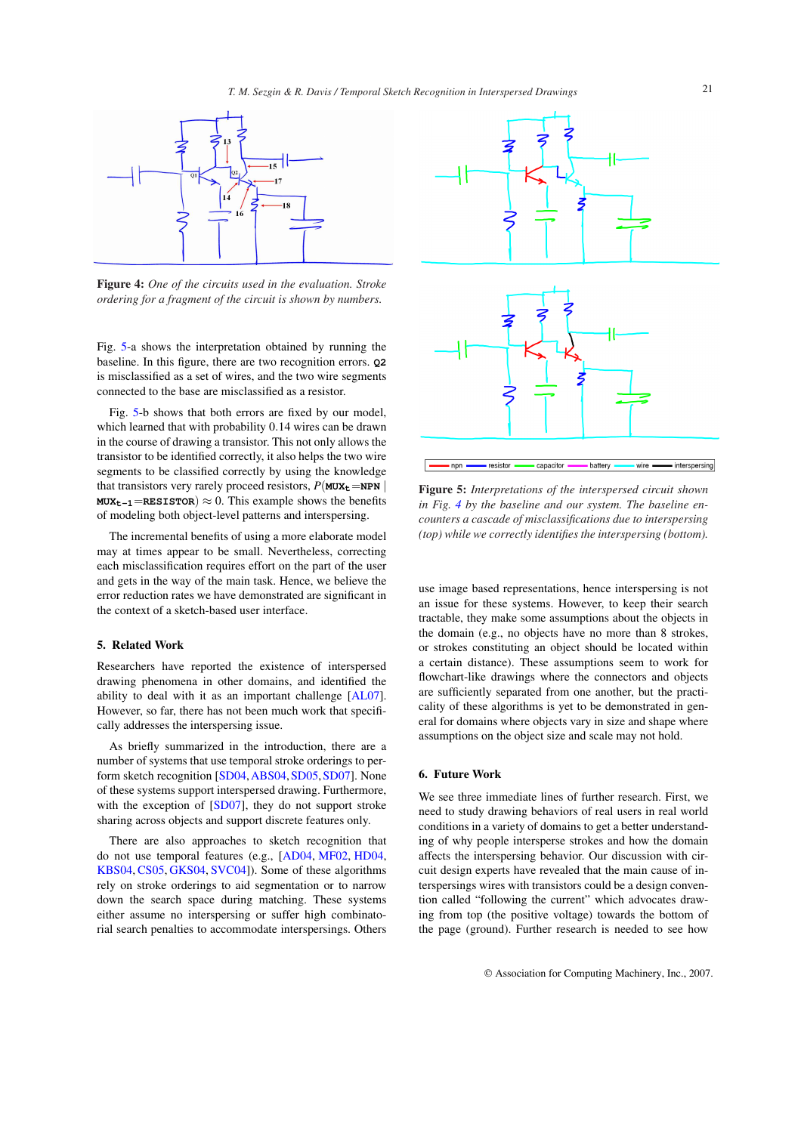

Figure 4: *One of the circuits used in the evaluation. Stroke ordering for a fragment of the circuit is shown by numbers.*

Fig. 5-a shows the interpretation obtained by running the baseline. In this figure, there are two recognition errors. **Q2** is misclassified as a set of wires, and the two wire segments connected to the base are misclassified as a resistor.

Fig. 5-b shows that both errors are fixed by our model, which learned that with probability 0.14 wires can be drawn in the course of drawing a transistor. This not only allows the transistor to be identified correctly, it also helps the two wire segments to be classified correctly by using the knowledge that transistors very rarely proceed resistors,  $P(MUX_t = NPN)$ **MUX**<sub>t-1</sub>=**RESISTOR**)  $\approx$  0. This example shows the benefits of modeling both object-level patterns and interspersing.

The incremental benefits of using a more elaborate model may at times appear to be small. Nevertheless, correcting each misclassification requires effort on the part of the user and gets in the way of the main task. Hence, we believe the error reduction rates we have demonstrated are significant in the context of a sketch-based user interface.

#### 5. Related Work

Researchers have reported the existence of interspersed drawing phenomena in other domains, and identified the ability to deal with it as an important challenge [AL07]. However, so far, there has not been much work that specifically addresses the interspersing issue.

As briefly summarized in the introduction, there are a number of systems that use temporal stroke orderings to perform sketch recognition [SD04,ABS04,SD05,SD07]. None of these systems support interspersed drawing. Furthermore, with the exception of [SD07], they do not support stroke sharing across objects and support discrete features only.

There are also approaches to sketch recognition that do not use temporal features (e.g., [AD04, MF02, HD04, KBS04, CS05, GKS04, SVC04]). Some of these algorithms rely on stroke orderings to aid segmentation or to narrow down the search space during matching. These systems either assume no interspersing or suffer high combinatorial search penalties to accommodate interspersings. Others



Figure 5: *Interpretations of the interspersed circuit shown in Fig. 4 by the baseline and our system. The baseline encounters a cascade of misclassifications due to interspersing (top) while we correctly identifies the interspersing (bottom).*

use image based representations, hence interspersing is not an issue for these systems. However, to keep their search tractable, they make some assumptions about the objects in the domain (e.g., no objects have no more than 8 strokes, or strokes constituting an object should be located within a certain distance). These assumptions seem to work for flowchart-like drawings where the connectors and objects are sufficiently separated from one another, but the practicality of these algorithms is yet to be demonstrated in general for domains where objects vary in size and shape where assumptions on the object size and scale may not hold.

# 6. Future Work

We see three immediate lines of further research. First, we need to study drawing behaviors of real users in real world conditions in a variety of domains to get a better understanding of why people intersperse strokes and how the domain affects the interspersing behavior. Our discussion with circuit design experts have revealed that the main cause of interspersings wires with transistors could be a design convention called "following the current" which advocates drawing from top (the positive voltage) towards the bottom of the page (ground). Further research is needed to see how